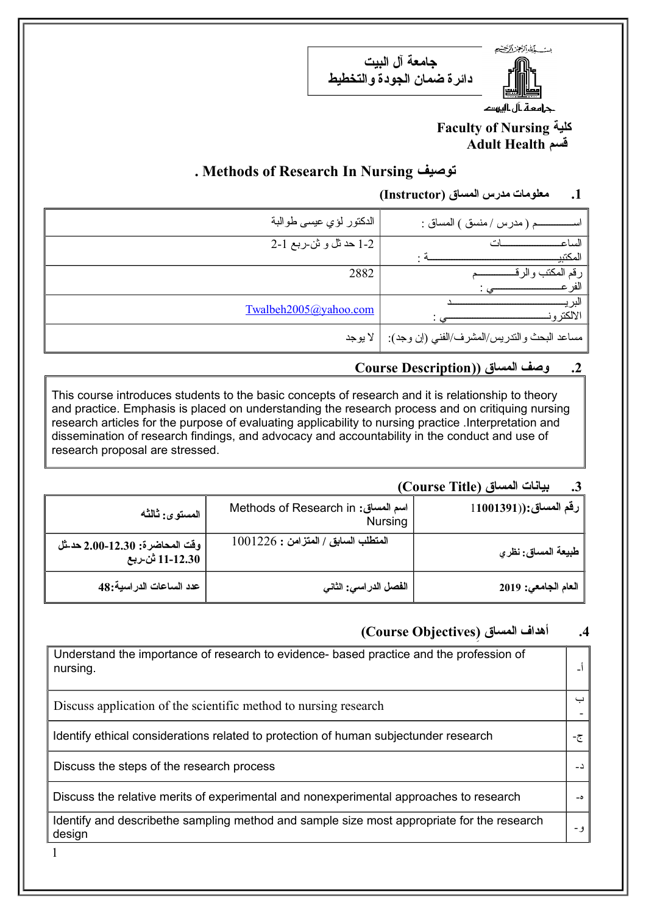مت المارالجز الكنع



**جامعة آل البيت دائرة ضمان الجودة والتخطيط**

جرامعة بآل باليرود

#### **Faculty of Nursing كلية Adult Health قسم**

### **. Methods of Research In Nursing توصيف**

#### **.1 معلومات مدرس المساق (Instructor(**

| م ( مدرس / منسق ) المساق :                  | الدكتور لؤي عيسى طوالبة |
|---------------------------------------------|-------------------------|
| الساع                                       | 2-1 حد ثل و ثن ربع 1-2  |
| المكتبي                                     |                         |
| ر قم المكتب                                 | 2882                    |
| لفر                                         |                         |
| لند<br>الالكتر و                            | Twalbeh2005@yahoo.com   |
| مساعد البحث والندريس/المشرف/الفني (إن وجد): | لا يوجد                 |

#### **.2 وصف المساق ((Description Course**

This course introduces students to the basic concepts of research and it is relationship to theory and practice. Emphasis is placed on understanding the research process and on critiquing nursing research articles for the purpose of evaluating applicability to nursing practice .Interpretation and dissemination of research findings, and advocacy and accountability in the conduct and use of research proposal are stressed.

## **.3 بيانات المساق (Title Course(**

| المستوى: ثالثه                                     | Methods of Research in :سم المساق<br><b>Nursing</b> | $\parallel$ رقم المساق:((11001391 $\parallel$ |
|----------------------------------------------------|-----------------------------------------------------|-----------------------------------------------|
| وفّت المحاضرة: 12.30-2.00 حد شل<br>11-12.30 ثن ربع | المتطلب السابق / المتزامن : 1001226                 | طبيعة المساق: نظر <i>ي</i>                    |
| عدد الساعات الدراسية:48                            | الفصل الدراسي: الثاني                               | العام الجامعي: 2019                           |

# **) .4 ) أهداف المساق Objectives Course(**

| Understand the importance of research to evidence- based practice and the profession of<br>nursing.  |      |
|------------------------------------------------------------------------------------------------------|------|
| Discuss application of the scientific method to nursing research                                     | ب    |
| Identify ethical considerations related to protection of human subjectunder research                 | − ై− |
| Discuss the steps of the research process                                                            |      |
| Discuss the relative merits of experimental and nonexperimental approaches to research               |      |
| Identify and describethe sampling method and sample size most appropriate for the research<br>design | و –  |

1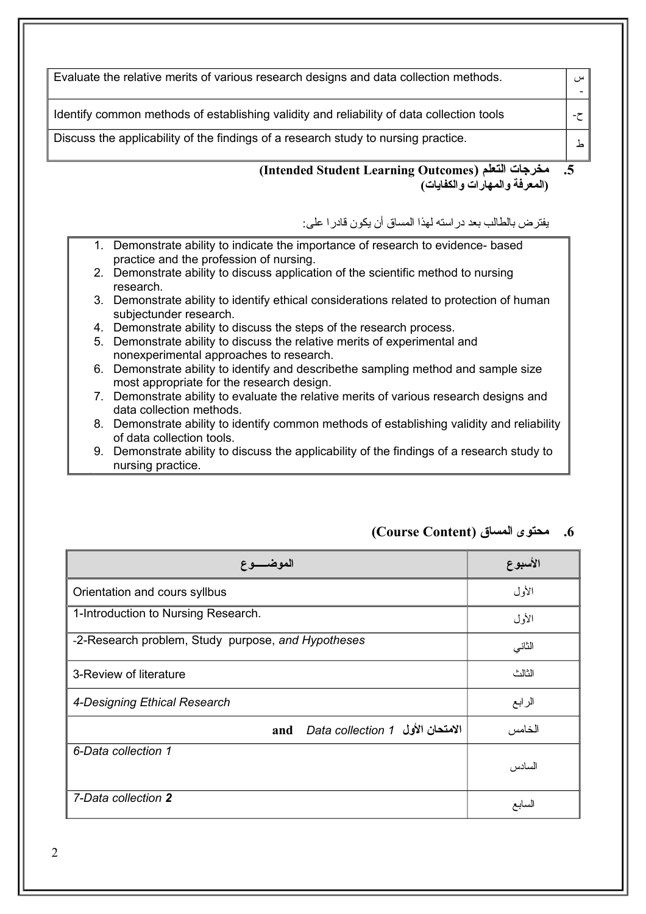| Evaluate the relative merits of various research designs and data collection methods.                                                     |
|-------------------------------------------------------------------------------------------------------------------------------------------|
| Identify common methods of establishing validity and reliability of data collection tools                                                 |
| Discuss the applicability of the findings of a research study to nursing practice.                                                        |
| مخرجات التعلم (Intended Student Learning Outcomes)<br>(المعرفة والمهارات والكفايات)                                                       |
| يفتر ض بالطالب بعد در استه لهذا المساق أن يكو ن قادر ا علي:                                                                               |
| 1. Demonstrate ability to indicate the importance of research to evidence- based                                                          |
| practice and the profession of nursing.<br>2. Demonstrate ability to discuss application of the scientific method to nursing<br>research. |
| 3. Demonstrate ability to identify ethical considerations related to protection of human<br>subjectunder research.                        |
| 4. Demonstrate ability to discuss the steps of the research process.                                                                      |
| 5. Demonstrate ability to discuss the relative merits of experimental and<br>nonexperimental approaches to research.                      |
| 6. Demonstrate ability to identify and describethe sampling method and sample size<br>most appropriate for the research design.           |
| 7. Demonstrate ability to evaluate the relative merits of various research designs and<br>data collection methods.                        |
| 8. Demonstrate ability to identify common methods of establishing validity and reliability<br>of data collection tools.                   |
| 9. Demonstrate ability to discuss the applicability of the findings of a research study to                                                |

| الموضـــــوع                                       | الأسبوع |
|----------------------------------------------------|---------|
| Orientation and cours syllbus                      | الأول   |
| 1-Introduction to Nursing Research.                | الأول   |
| -2-Research problem, Study purpose, and Hypotheses | الثاني  |
| 3-Review of literature                             | الثالث  |
| 4-Designing Ethical Research                       | الرابع  |
| الامتحان الأول   Data collection 1<br>and          | الخامس  |
| 6-Data collection 1                                | السادس  |
| 7-Data collection 2                                | السابع  |

**.6 محتوى المساق (Content Course(**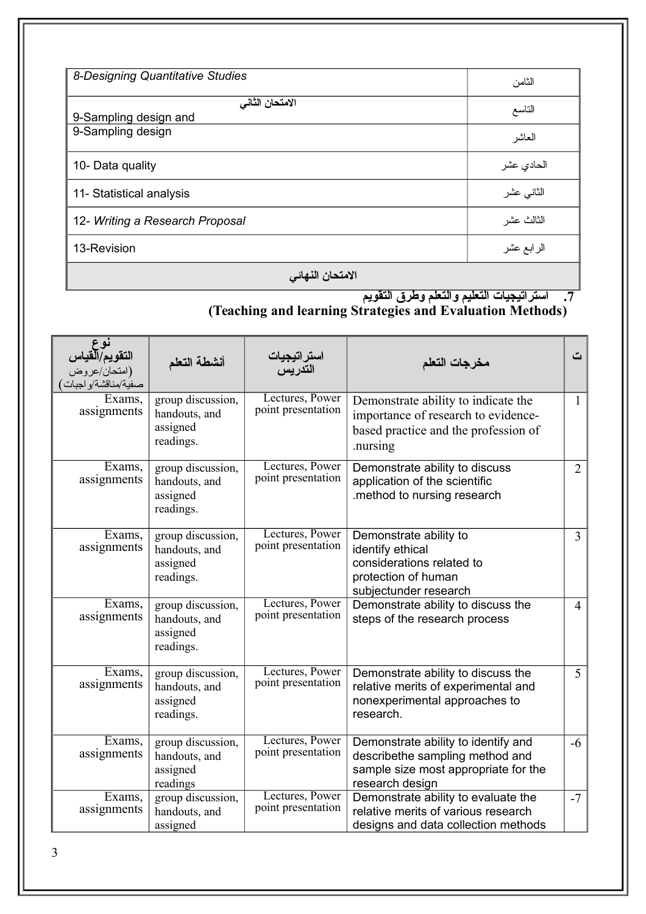| 8-Designing Quantitative Studies |            |
|----------------------------------|------------|
|                                  | الثامن     |
| الامتحان الثاني                  | التاسع     |
| 9-Sampling design and            |            |
| 9-Sampling design                | العاشر     |
| 10- Data quality                 | الحادي عشر |
| 11- Statistical analysis         | الثانى عشر |
| 12- Writing a Research Proposal  | الثالث عشر |
| 13-Revision                      | الرابع عشر |

#### **المتحان النهائي**

#### **.7 استراتيجيات التعليم والتعلم وطرق التقويم (Teaching and learning Strategies and Evaluation Methods)**

| نوع<br>التقويم/القياس<br>(امتحان/عروض<br>صفية/مناقشة/و اجبات | أنشطة التعلم                                                | استر اتيجيات<br>التدريس               | مخرجات التعلم                                                                                                                     | ٽ              |
|--------------------------------------------------------------|-------------------------------------------------------------|---------------------------------------|-----------------------------------------------------------------------------------------------------------------------------------|----------------|
| Exams,<br>assignments                                        | group discussion,<br>handouts, and<br>assigned<br>readings. | Lectures, Power<br>point presentation | Demonstrate ability to indicate the<br>importance of research to evidence-<br>based practice and the profession of<br>nursing     | $\mathbf{1}$   |
| Exams,<br>assignments                                        | group discussion,<br>handouts, and<br>assigned<br>readings. | Lectures, Power<br>point presentation | Demonstrate ability to discuss<br>application of the scientific<br>.method to nursing research                                    | $\overline{2}$ |
| Exams.<br>assignments                                        | group discussion,<br>handouts, and<br>assigned<br>readings. | Lectures, Power<br>point presentation | Demonstrate ability to<br>identify ethical<br>considerations related to<br>protection of human<br>subjectunder research           | $\overline{3}$ |
| Exams,<br>assignments                                        | group discussion,<br>handouts, and<br>assigned<br>readings. | Lectures, Power<br>point presentation | Demonstrate ability to discuss the<br>steps of the research process                                                               | $\overline{4}$ |
| Exams,<br>assignments                                        | group discussion,<br>handouts, and<br>assigned<br>readings. | Lectures, Power<br>point presentation | Demonstrate ability to discuss the<br>relative merits of experimental and<br>nonexperimental approaches to<br>research.           | 5              |
| Exams,<br>assignments                                        | group discussion,<br>handouts, and<br>assigned<br>readings  | Lectures, Power<br>point presentation | Demonstrate ability to identify and<br>describethe sampling method and<br>sample size most appropriate for the<br>research design | $-6$           |
| Exams,<br>assignments                                        | group discussion,<br>handouts, and<br>assigned              | Lectures, Power<br>point presentation | Demonstrate ability to evaluate the<br>relative merits of various research<br>designs and data collection methods                 | $-7$           |